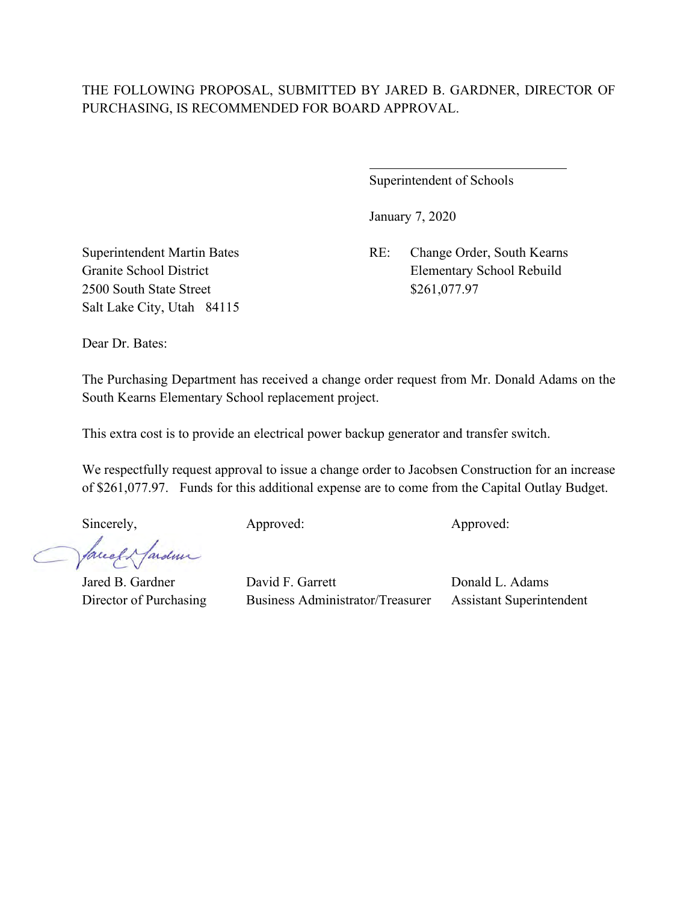# THE FOLLOWING PROPOSAL, SUBMITTED BY JARED B. GARDNER, DIRECTOR OF PURCHASING, IS RECOMMENDED FOR BOARD APPROVAL.

 $\overline{a}$ 

Superintendent of Schools

January 7, 2020

Superintendent Martin Bates RE: Change Order, South Kearns Granite School District Elementary School Rebuild

2500 South State Street \$261,077.97 Salt Lake City, Utah 84115

Dear Dr. Bates:

The Purchasing Department has received a change order request from Mr. Donald Adams on the South Kearns Elementary School replacement project.

This extra cost is to provide an electrical power backup generator and transfer switch.

We respectfully request approval to issue a change order to Jacobsen Construction for an increase of \$261,077.97. Funds for this additional expense are to come from the Capital Outlay Budget.

Sincerely, Approved: Approved: Approved: Approved:

facely fardeur

Jared B. Gardner David F. Garrett Donald L. Adams Director of Purchasing Business Administrator/Treasurer Assistant Superintendent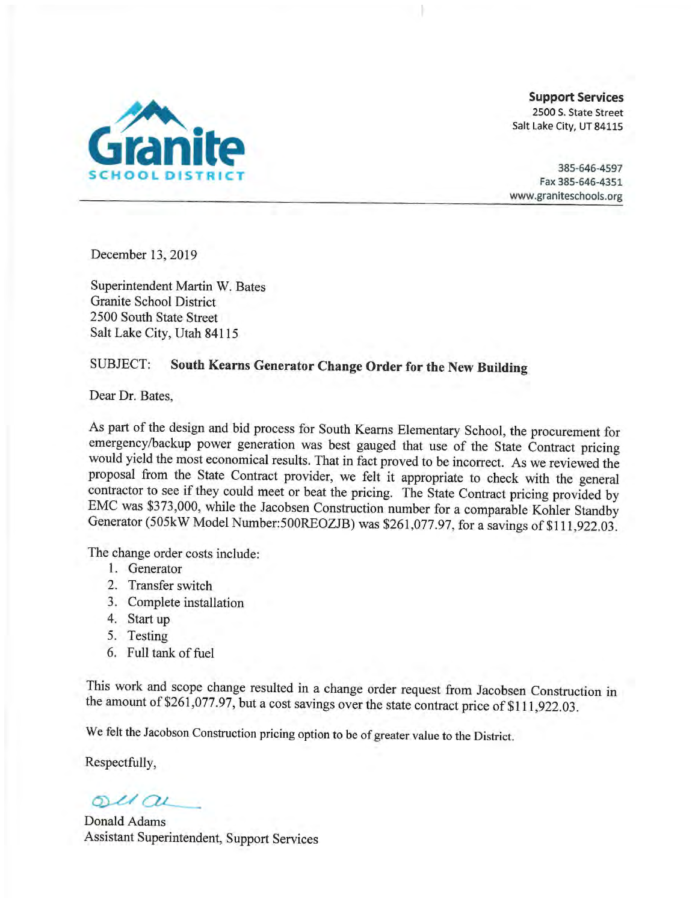

**Support Services** 2500 S. State Street Salt Lake City, UT 84115

385-646-4597 Fax 385-646-4351 www.graniteschools.org

December 13, 2019

Superintendent Martin W. Bates Granite School District 2500 South State Street Salt Lake City, Utah 84115

### South Kearns Generator Change Order for the New Building SUBJECT:

Dear Dr. Bates.

As part of the design and bid process for South Kearns Elementary School, the procurement for emergency/backup power generation was best gauged that use of the State Contract pricing would yield the most economical results. That in fact proved to be incorrect. As we reviewed the proposal from the State Contract provider, we felt it appropriate to check with the general contractor to see if they could meet or beat the pricing. The State Contract pricing provided by EMC was \$373,000, while the Jacobsen Construction number for a comparable Kohler Standby Generator (505kW Model Number:500REOZJB) was \$261,077.97, for a savings of \$111,922.03.

The change order costs include:

- 1. Generator
- 2. Transfer switch
- 3. Complete installation
- 4. Start up
- 5. Testing
- 6. Full tank of fuel

This work and scope change resulted in a change order request from Jacobsen Construction in the amount of \$261,077.97, but a cost savings over the state contract price of \$111,922.03.

We felt the Jacobson Construction pricing option to be of greater value to the District.

Respectfully,

 $ol(a)$ 

Donald Adams Assistant Superintendent, Support Services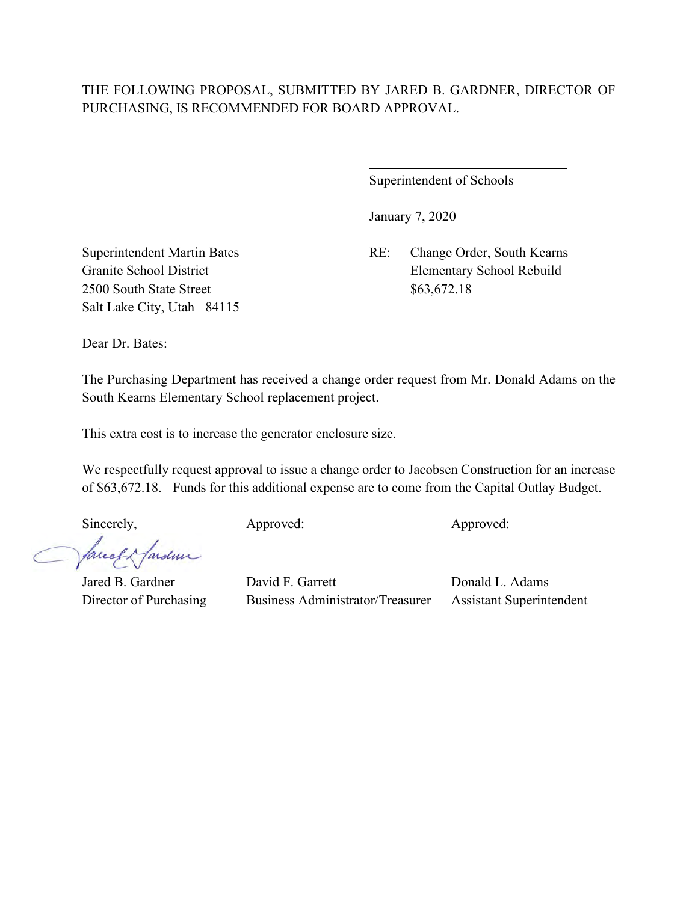# THE FOLLOWING PROPOSAL, SUBMITTED BY JARED B. GARDNER, DIRECTOR OF PURCHASING, IS RECOMMENDED FOR BOARD APPROVAL.

 $\overline{a}$ 

Superintendent of Schools

January 7, 2020

Superintendent Martin Bates RE: Change Order, South Kearns Granite School District Elementary School Rebuild

2500 South State Street \$63,672.18 Salt Lake City, Utah 84115

Dear Dr. Bates:

The Purchasing Department has received a change order request from Mr. Donald Adams on the South Kearns Elementary School replacement project.

This extra cost is to increase the generator enclosure size.

We respectfully request approval to issue a change order to Jacobsen Construction for an increase of \$63,672.18. Funds for this additional expense are to come from the Capital Outlay Budget.

Sincerely, Approved: Approved: Approved: Approved:

facely fardeur

Jared B. Gardner David F. Garrett Donald L. Adams Director of Purchasing Business Administrator/Treasurer Assistant Superintendent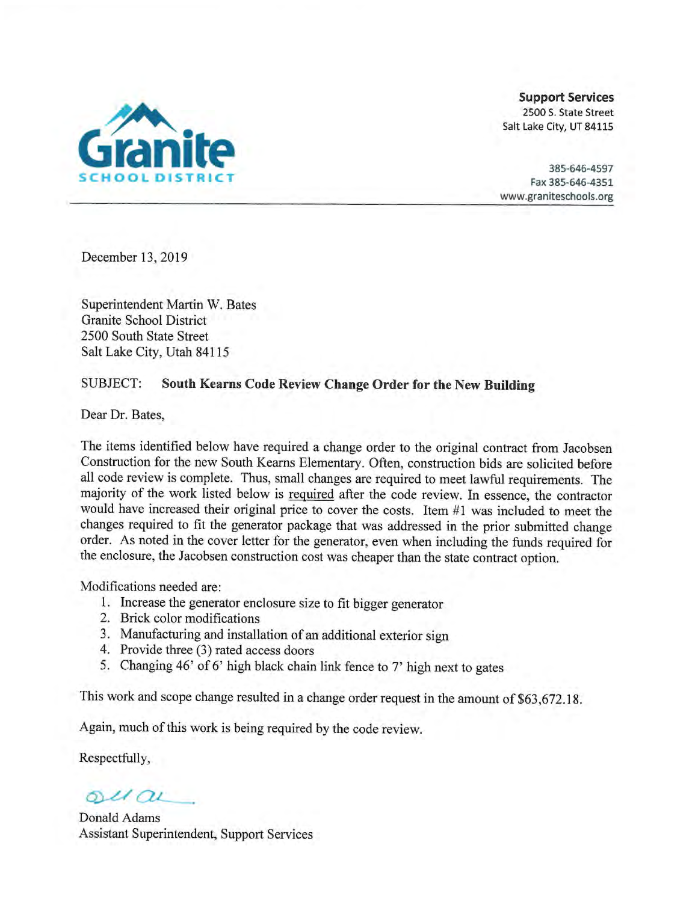

**Support Services** 2500 S. State Street Salt Lake City, UT 84115

385-646-4597 Fax 385-646-4351 www.graniteschools.org

December 13, 2019

Superintendent Martin W. Bates Granite School District 2500 South State Street Salt Lake City, Utah 84115

#### **SUBJECT:** South Kearns Code Review Change Order for the New Building

Dear Dr. Bates.

The items identified below have required a change order to the original contract from Jacobsen Construction for the new South Kearns Elementary. Often, construction bids are solicited before all code review is complete. Thus, small changes are required to meet lawful requirements. The majority of the work listed below is required after the code review. In essence, the contractor would have increased their original price to cover the costs. Item #1 was included to meet the changes required to fit the generator package that was addressed in the prior submitted change order. As noted in the cover letter for the generator, even when including the funds required for the enclosure, the Jacobsen construction cost was cheaper than the state contract option.

Modifications needed are:

- 1. Increase the generator enclosure size to fit bigger generator
- 2. Brick color modifications
- 3. Manufacturing and installation of an additional exterior sign
- 4. Provide three (3) rated access doors
- 5. Changing 46' of 6' high black chain link fence to 7' high next to gates

This work and scope change resulted in a change order request in the amount of \$63,672.18.

Again, much of this work is being required by the code review.

Respectfully,

 $olax$ 

Donald Adams **Assistant Superintendent, Support Services**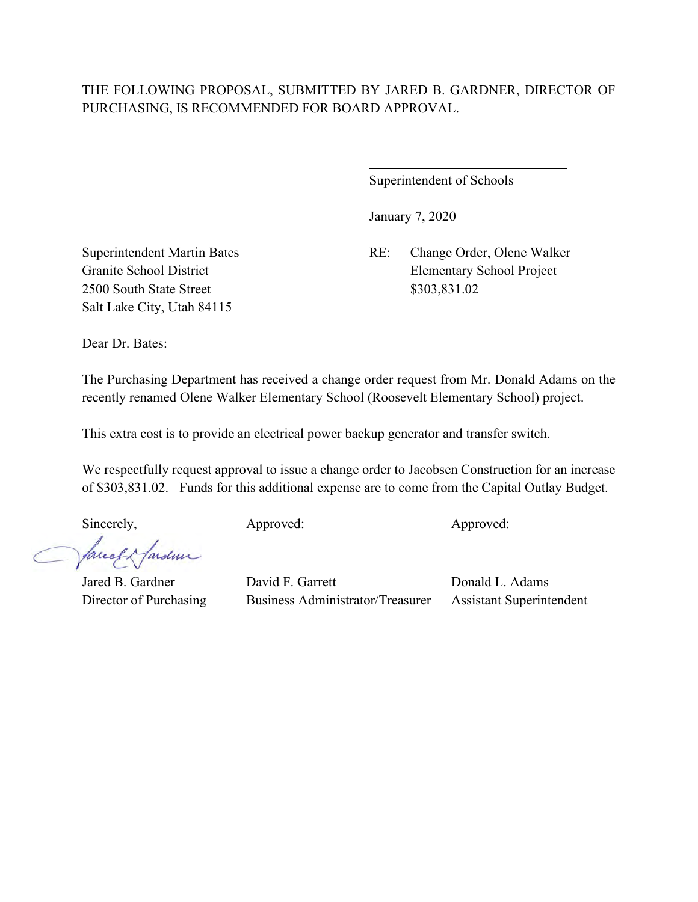# THE FOLLOWING PROPOSAL, SUBMITTED BY JARED B. GARDNER, DIRECTOR OF PURCHASING, IS RECOMMENDED FOR BOARD APPROVAL.

 $\overline{a}$ 

Superintendent of Schools

January 7, 2020

Superintendent Martin Bates RE: Change Order, Olene Walker Granite School District Elementary School Project

2500 South State Street \$303,831.02 Salt Lake City, Utah 84115

Dear Dr. Bates:

The Purchasing Department has received a change order request from Mr. Donald Adams on the recently renamed Olene Walker Elementary School (Roosevelt Elementary School) project.

This extra cost is to provide an electrical power backup generator and transfer switch.

We respectfully request approval to issue a change order to Jacobsen Construction for an increase of \$303,831.02. Funds for this additional expense are to come from the Capital Outlay Budget.

Sincerely, Approved: Approved: Approved: Approved:

facely fardeur

Jared B. Gardner David F. Garrett Donald L. Adams Director of Purchasing Business Administrator/Treasurer Assistant Superintendent